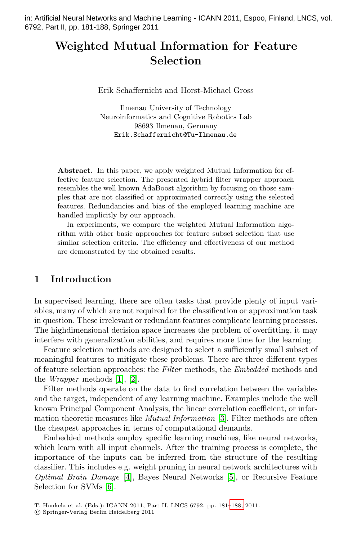in: Artificial Neural Networks and Machine Learning - ICANN 2011, Espoo, Finland, LNCS, vol. 6792, Part II, pp. 181-188, Springer 2011

# **Weighted Mutual Information for Feature Selection**

Erik Schaffernicht and Horst-Michael Gross

Ilmenau University of Technology Neuroinformatics and Cognitive Robotics Lab 98693 Ilmenau, Germany Erik.Schaffernicht@Tu-Ilmenau.de

**Abstract.** In this paper, we apply weighted Mutual Information for effective feature selection. The presented hybrid filter wrapper approach resembles the well known AdaBoost algorithm by focusing on those samples that are not classified or approximated correctly using the selected features. Redundancies and bias of the employed learning machine are handled implicitly by our approach.

In experiments, we compare the weighted Mutual Information algorithm with other basic approaches for feature subset selection that use similar selection criteria. The efficiency and effectiveness of our method are demonstrated by the obtained results.

# **1 Introduction**

In supervised learning, there are often tasks that provide plenty of input variables, many of which are not required for the classification or approximation task in question. These irrelevant or redundant features complicate learning processes. The highdimensional decision space increases the problem of overfitting, it may interfere with generalization abilities, and requires more time for the learning.

Feature selection methods are designed to select a sufficiently small subset of meaningful features to mitigate these problems. There are three different types of feature selection approaches: the *Filter* methods, the *Embedded* methods and the *Wrapper* methods [1], [2].

Filter methods operate on the data to find correlation between the variables and the target, independent of any learning machine. Examples include the well known Principal Component Analysis, the linear correlation coefficient, or information theoretic measures like *Mutual Information* [3]. Filter methods are often the cheapest approaches in terms of computational demands.

Embedded methods employ specific learning machines, like neural networks, which learn with all input channels. After the training process is complete, the importance of the inputs can be inferred from the structure of the resulting classifier. This includes e.g. weight pruning in neural network architectures with *Optimal Brain Damage* [4], Bayes Neural Networks [5], or Recursive Feature Selection for SVMs [6].

T. Honkela et al. (Eds.): ICANN 2011, Part II, LNCS 6792, pp. 181[–188,](#page-7-0) 2011.

<sup>-</sup>c Springer-Verlag Berlin Heidelberg 2011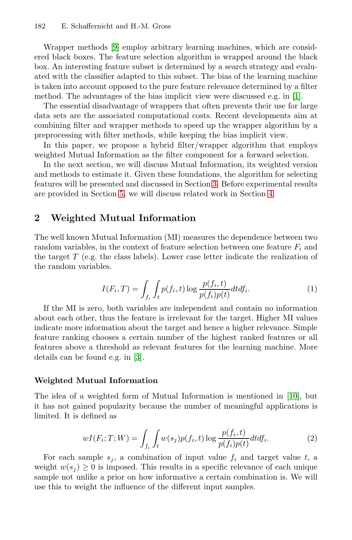Wrapper methods [9] employ arbitrary learning machines, which are considered black boxes. The feature selection algorithm is wrapped around the black box. An interesting feature subset is determined by a search strategy and evaluated with the classifier adapted to this subset. The bias of the learning machine is taken into account opposed to the pure feature relevance determined by a filter method. The advantages of the bias implicit view were discussed e.g. in [1].

The essential disadvantage of wrappers that often prevents their use for large data sets are the associated computational costs. Recent developments aim at combining filter and wrapper methods to speed up the wrapper algorithm by a preprocessing with filter methods, while keeping the bias implicit view.

In this paper, we propose a hybrid filter/wrapper algorithm that employs weighted Mutual Information as the filter component for a forward selection.

In the next section, we will discuss Mutual Information, its weighted version and methods to estimate it. Given these foundations, the algorithm for selecting features will be presented and discussed in Section 3. Before experimental results are provided in Section 5, we will discuss related work in Section 4.

# **2 Weighted Mutual Information**

The well known Mutual Information (MI) measures the dependence between two random variables, in the context of feature selection between one feature F*<sup>i</sup>* and the target  $T$  (e.g. the class labels). Lower case letter indicate the realization of the random variables.

$$
I(F_i, T) = \int_{f_i} \int_t p(f_i, t) \log \frac{p(f_i, t)}{p(f_i)p(t)} dt df_i.
$$
\n
$$
(1)
$$

If the MI is zero, both variables are independent and contain no information about each other, thus the feature is irrelevant for the target. Higher MI values indicate more information about the target and hence a higher relevance. Simple feature ranking chooses a certain number of the highest ranked features or all features above a threshold as relevant features for the learning machine. More details can be found e.g. in [3].

#### **Weighted Mutual Information**

The idea of a weighted form of Mutual Information is mentioned in [10], but it has not gained popularity because the number of meaningful applications is limited. It is defined as

$$
wI(F_i;T;W) = \int_{f_i} \int_t w(s_j) p(f_i,t) \log \frac{p(f_i,t)}{p(f_i)p(t)} dt df_i.
$$
 (2)

For each sample  $s_j$ , a combination of input value  $f_i$  and target value  $t$ , a weight  $w(s_i) \geq 0$  is imposed. This results in a specific relevance of each unique sample not unlike a prior on how informative a certain combination is. We will use this to weight the influence of the different input samples.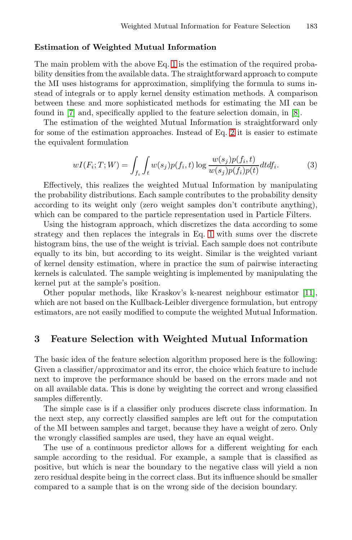#### **Estimation of Weighted Mutual Information**

The main problem with the above Eq. 1 is the estimation of the required probability densities from the available data. The straightforward approach to compute the MI uses histograms for approximation, simplifying the formula to sums instead of integrals or to apply kernel density estimation methods. A comparison between these and more sophisticated methods for estimating the MI can be found in [7] and, specifically applied to the feature selection domain, in [8].

The estimation of the weighted Mutual Information is straightforward only for some of the estimation approaches. Instead of Eq. 2 it is easier to estimate the equivalent formulation

$$
wI(F_i;T;W) = \int_{f_i} \int_t w(s_j) p(f_i,t) \log \frac{w(s_j) p(f_i,t)}{w(s_j) p(f_i) p(t)} dt df_i.
$$
 (3)

Effectively, this realizes the weighted Mutual Information by manipulating the probability distributions. Each sample contributes to the probability density according to its weight only (zero weight samples don't contribute anything), which can be compared to the particle representation used in Particle Filters.

Using the histogram approach, which discretizes the data according to some strategy and then replaces the integrals in Eq. 1 with sums over the discrete histogram bins, the use of the weight is trivial. Each sample does not contribute equally to its bin, but according to its weight. Similar is the weighted variant of kernel density estimation, where in practice the sum of pairwise interacting kernels is calculated. The sample weighting is implemented by manipulating the kernel put at the sample's position.

Other popular methods, like Kraskov's k-nearest neighbour estimator [11], which are not based on the Kullback-Leibler divergence formulation, but entropy estimators, are not easily modified to compute the weighted Mutual Information.

### **3 Feature Selection with Weighted Mutual Information**

The basic idea of the feature selection algorithm proposed here is the following: Given a classifier/approximator and its error, the choice which feature to include next to improve the performance should be based on the errors made and not on all available data. This is done by weighting the correct and wrong classified samples differently.

The simple case is if a classifier only produces discrete class information. In the next step, any correctly classified samples are left out for the computation of the MI between samples and target, because they have a weight of zero. Only the wrongly classified samples are used, they have an equal weight.

The use of a continuous predictor allows for a different weighting for each sample according to the residual. For example, a sample that is classified as positive, but which is near the boundary to the negative class will yield a non zero residual despite being in the correct class. But its influence should be smaller compared to a sample that is on the wrong side of the decision boundary.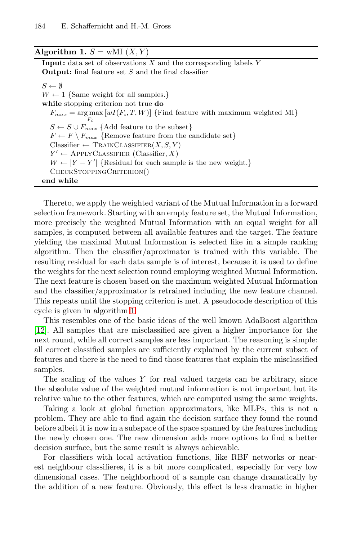#### **Algorithm 1.**  $S = wM I(X, Y)$

**Input:** data set of observations *X* and the corresponding labels *Y* **Output:** final feature set *S* and the final classifier  $S \leftarrow \emptyset$  $W \leftarrow 1$  {Same weight for all samples.} **while** stopping criterion not true **do**  $F_{max} = \arg \max_{F_i} [wI(F_i, T, W)]$  {Find feature with maximum weighted MI}  $S \leftarrow S \cup F_{max}$  {Add feature to the subset}  $F \leftarrow F \setminus F_{max}$  {Remove feature from the candidate set}  $\text{Classifier} \leftarrow \text{TRANCLASSIFIER}(X, S, Y)$  $Y' \leftarrow$  APPLYCLASSIFIER (Classifier, *X*)<br> $W \leftarrow |Y - Y'|$  JResidual for each same  $W \leftarrow |Y - Y'|$  {Residual for each sample is the new weight.} CheckStoppingCriterion() **end while**

Thereto, we apply the weighted variant of the Mutual Information in a forward selection framework. Starting with an empty feature set, the Mutual Information, more precisely the weighted Mutual Information with an equal weight for all samples, is computed between all available features and the target. The feature yielding the maximal Mutual Information is selected like in a simple ranking algorithm. Then the classifier/aproximator is trained with this variable. The resulting residual for each data sample is of interest, because it is used to define the weights for the next selection round employing weighted Mutual Information. The next feature is chosen based on the maximum weighted Mutual Information and the classifier/approximator is retrained including the new feature channel. This repeats until the stopping criterion is met. A pseudocode description of this cycle is given in algorithm 1.

This resembles one of the basic ideas of the well known AdaBoost algorithm [12]. All samples that are misclassified are given a higher importance for the next round, while all correct samples are less important. The reasoning is simple: all correct classified samples are sufficiently explained by the current subset of features and there is the need to find those features that explain the misclassified samples.

The scaling of the values  $Y$  for real valued targets can be arbitrary, since the absolute value of the weighted mutual information is not important but its relative value to the other features, which are computed using the same weights.

Taking a look at global function approximators, like MLPs, this is not a problem. They are able to find again the decision surface they found the round before albeit it is now in a subspace of the space spanned by the features including the newly chosen one. The new dimension adds more options to find a better decision surface, but the same result is always achievable.

For classifiers with local activation functions, like RBF networks or nearest neighbour classifieres, it is a bit more complicated, especially for very low dimensional cases. The neighborhood of a sample can change dramatically by the addition of a new feature. Obviously, this effect is less dramatic in higher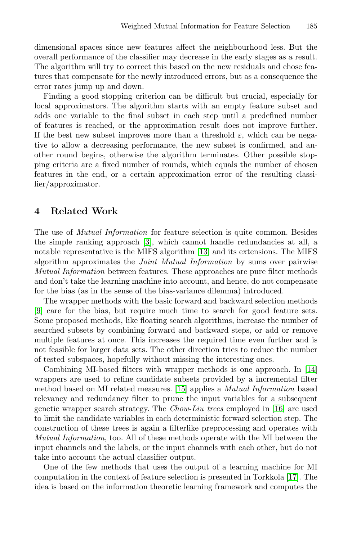dimensional spaces since new features affect the neighbourhood less. But the overall performance of the classifier may decrease in the early stages as a result. The algorithm will try to correct this based on the new residuals and chose features that compensate for the newly introduced errors, but as a consequence the error rates jump up and down.

Finding a good stopping criterion can be difficult but crucial, especially for local approximators. The algorithm starts with an empty feature subset and adds one variable to the final subset in each step until a predefined number of features is reached, or the approximation result does not improve further. If the best new subset improves more than a threshold  $\varepsilon$ , which can be negative to allow a decreasing performance, the new subset is confirmed, and another round begins, otherwise the algorithm terminates. Other possible stopping criteria are a fixed number of rounds, which equals the number of chosen features in the end, or a certain approximation error of the resulting classifier/approximator.

## **4 Related Work**

The use of *Mutual Information* for feature selection is quite common. Besides the simple ranking approach [3], which cannot handle redundancies at all, a notable representative is the MIFS algorithm [13] and its extensions. The MIFS algorithm approximates the *Joint Mutual Information* by sums over pairwise *Mutual Information* between features. These approaches are pure filter methods and don't take the learning machine into account, and hence, do not compensate for the bias (as in the sense of the bias-variance dilemma) introduced.

The wrapper methods with the basic forward and backward selection methods [9] care for the bias, but require much time to search for good feature sets. Some proposed methods, like floating search algorithms, increase the number of searched subsets by combining forward and backward steps, or add or remove multiple features at once. This increases the required time even further and is not feasible for larger data sets. The other direction tries to reduce the number of tested subspaces, hopefully without missing the interesting ones.

Combining MI-based filters with wrapper methods is one approach. In [14] wrappers are used to refine candidate subsets provided by a incremental filter method based on MI related measures. [15] applies a *Mutual Information* based relevancy and redundancy filter to prune the input variables for a subsequent genetic wrapper search strategy. The *Chow-Liu trees* employed in [16] are used to limit the candidate variables in each deterministic forward selection step. The construction of these trees is again a filterlike preprocessing and operates with *Mutual Information*, too. All of these methods operate with the MI between the input channels and the labels, or the input channels with each other, but do not take into account the actual classifier output.

One of the few methods that uses the output of a learning machine for MI computation in the context of feature selection is presented in Torkkola [17]. The idea is based on the information theoretic learning framework and computes the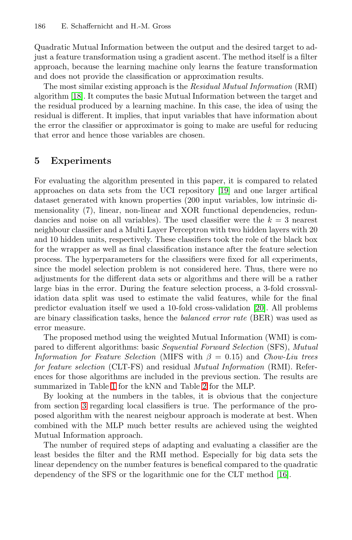Quadratic Mutual Information between the output and the desired target to adjust a feature transformation using a gradient ascent. The method itself is a filter approach, because the learning machine only learns the feature transformation and does not provide the classification or approximation results.

The most similar existing approach is the *Residual Mutual Information* (RMI) algorithm [18]. It computes the basic Mutual Information between the target and the residual produced by a learning machine. In this case, the idea of using the residual is different. It implies, that input variables that have information about the error the classifier or approximator is going to make are useful for reducing that error and hence those variables are chosen.

# **5 Experiments**

For evaluating the algorithm presented in this paper, it is compared to related approaches on data sets from the UCI repository [19] and one larger artifical dataset generated with known properties (200 input variables, low intrinsic dimensionality (7), linear, non-linear and XOR functional dependencies, redundancies and noise on all variables). The used classifier were the  $k = 3$  nearest neighbour classifier and a Multi Layer Perceptron with two hidden layers with 20 and 10 hidden units, respectively. These classifiers took the role of the black box for the wrapper as well as final classification instance after the feature selection process. The hyperparameters for the classifiers were fixed for all experiments, since the model selection problem is not considered here. Thus, there were no adjustments for the different data sets or algorithms and there will be a rather large bias in the error. During the feature selection process, a 3-fold crossvalidation data split was used to estimate the valid features, while for the final predictor evaluation itself we used a 10-fold cross-validation [20]. All problems are binary classification tasks, hence the *balanced error rate* (BER) was used as error measure.

The proposed method using the weighted Mutual Information (WMI) is compared to different algorithms: basic *Sequential Forward Selection* (SFS), *Mutual Information for Feature Selection* (MIFS with  $\beta = 0.15$ ) and *Chow-Liu trees for feature selection* (CLT-FS) and residual *Mutual Information* (RMI). References for those algorithms are included in the previous section. The results are summarized in Table 1 for the kNN and Table 2 for the MLP.

By looking at the numbers in the tables, it is obvious that the conjecture from section 3 regarding local classifiers is true. The performance of the proposed algorithm with the nearest neigbour approach is moderate at best. When combined with the MLP much better results are achieved using the weighted Mutual Information approach.

The number of required steps of adapting and evaluating a classifier are the least besides the filter and the RMI method. Especially for big data sets the linear dependency on the number features is benefical compared to the quadratic dependency of the SFS or the logarithmic one for the CLT method [16].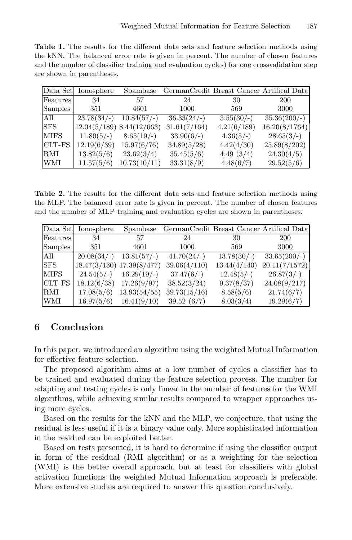**Table 1.** The results for the different data sets and feature selection methods using the kNN. The balanced error rate is given in percent. The number of chosen features and the number of classifier training and evaluation cycles) for one crossvalidation step are shown in parentheses.

| Data Set    | Ionosphere    | Spambase                    | German Credit Breast Cancer Artifical Data |              |                |
|-------------|---------------|-----------------------------|--------------------------------------------|--------------|----------------|
| Features    | 34            | 57                          | 24                                         | 30           | 200            |
| Samples     | 351           | 4601                        | 1000                                       | 569          | 3000           |
| All         | $23.78(34/-)$ | $10.84(57/-)$               | $36.33(24/-)$                              | $3.55(30/-)$ | $35.36(200/-)$ |
| <b>SFS</b>  |               | $12.04(5/189)$ 8.44(12/663) | 31.61(7/164)                               | 4.21(6/189)  | 16.20(8/1764)  |
| <b>MIFS</b> | $11.80(5/-)$  | $8.65(19/-)$                | $33.90(6/-)$                               | $4.36(5/-)$  | $28.65(3/-)$   |
| CLT-FS      | 12.19(6/39)   | 15.97(6/76)                 | 34.89(5/28)                                | 4.42(4/30)   | 25.89(8/202)   |
| RMI         | 13.82(5/6)    | 23.62(3/4)                  | 35.45(5/6)                                 | 4.49 $(3/4)$ | 24.30(4/5)     |
| WMI         | 11.57(5/6)    | 10.73(10/11)                | 33.31(8/9)                                 | 4.48(6/7)    | 29.52(5/6)     |

**Table 2.** The results for the different data sets and feature selection methods using the MLP. The balanced error rate is given in percent. The number of chosen features and the number of MLP training and evaluation cycles are shown in parentheses.

| Data Set        | Ionosphere    | Spambase                      | German Credit Breast Cancer Artifical Data |               |                |
|-----------------|---------------|-------------------------------|--------------------------------------------|---------------|----------------|
| <b>Features</b> | 34            | 57                            | 24                                         | 30            | <b>200</b>     |
| Samples         | 351           | 4601                          | 1000                                       | 569           | 3000           |
| All             | $20.08(34/-)$ | $13.81(57/-)$                 | $41.70(24/-)$                              | $13.78(30/-)$ | $33.65(200/-)$ |
| SFS.            |               | $18.47(3/130)$ $17.39(8/477)$ | 39.06(4/110)                               | 13.44(4/140)  | 20.11(7/1572)  |
| <b>MIFS</b>     | $24.54(5/-)$  | $16.29(19/-)$                 | $37.47(6/-)$                               | $12.48(5/-)$  | $26.87(3/-)$   |
| CLT-FS          | 18.12(6/38)   | 17.26(9/97)                   | 38.52(3/24)                                | 9.37(8/37)    | 24.08(9/217)   |
| RMI             | 17.08(5/6)    | 13.93(54/55)                  | 39.73(15/16)                               | 8.58(5/6)     | 21.74(6/7)     |
| WMI             | 16.97(5/6)    | 16.41(9/10)                   | 39.52(6/7)                                 | 8.03(3/4)     | 19.29(6/7)     |

# **6 Conclusion**

In this paper, we introduced an algorithm using the weighted Mutual Information for effective feature selection.

The proposed algorithm aims at a low number of cycles a classifier has to be trained and evaluated during the feature selection process. The number for adapting and testing cycles is only linear in the number of features for the WMI algorithms, while achieving similar results compared to wrapper approaches using more cycles.

Based on the results for the kNN and the MLP, we conjecture, that using the residual is less useful if it is a binary value only. More sophisticated information in the residual can be exploited better.

Based on tests presented, it is hard to determine if using the classifier output in form of the residual (RMI algorithm) or as a weighting for the selection (WMI) is the better overall approach, but at least for classifiers with global activation functions the weighted Mutual Information approach is preferable. More extensive studies are required to answer this question conclusively.